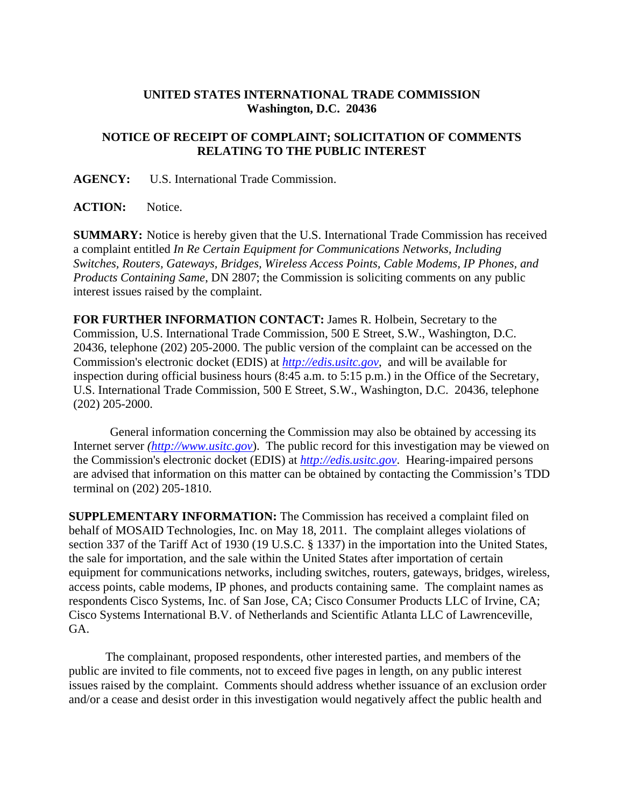## **UNITED STATES INTERNATIONAL TRADE COMMISSION Washington, D.C. 20436**

## **NOTICE OF RECEIPT OF COMPLAINT; SOLICITATION OF COMMENTS RELATING TO THE PUBLIC INTEREST**

**AGENCY:** U.S. International Trade Commission.

**ACTION:** Notice.

**SUMMARY:** Notice is hereby given that the U.S. International Trade Commission has received a complaint entitled *In Re Certain Equipment for Communications Networks, Including Switches, Routers, Gateways, Bridges, Wireless Access Points, Cable Modems, IP Phones, and Products Containing Same*, DN 2807; the Commission is soliciting comments on any public interest issues raised by the complaint.

**FOR FURTHER INFORMATION CONTACT:** James R. Holbein, Secretary to the Commission, U.S. International Trade Commission, 500 E Street, S.W., Washington, D.C. 20436, telephone (202) 205-2000. The public version of the complaint can be accessed on the Commission's electronic docket (EDIS) at *http://edis.usitc.gov*,and will be available for inspection during official business hours (8:45 a.m. to 5:15 p.m.) in the Office of the Secretary, U.S. International Trade Commission, 500 E Street, S.W., Washington, D.C. 20436, telephone (202) 205-2000.

General information concerning the Commission may also be obtained by accessing its Internet server *(http://www.usitc.gov*). The public record for this investigation may be viewed on the Commission's electronic docket (EDIS) at *http://edis.usitc.gov*. Hearing-impaired persons are advised that information on this matter can be obtained by contacting the Commission's TDD terminal on (202) 205-1810.

**SUPPLEMENTARY INFORMATION:** The Commission has received a complaint filed on behalf of MOSAID Technologies, Inc. on May 18, 2011. The complaint alleges violations of section 337 of the Tariff Act of 1930 (19 U.S.C. § 1337) in the importation into the United States, the sale for importation, and the sale within the United States after importation of certain equipment for communications networks, including switches, routers, gateways, bridges, wireless, access points, cable modems, IP phones, and products containing same. The complaint names as respondents Cisco Systems, Inc. of San Jose, CA; Cisco Consumer Products LLC of Irvine, CA; Cisco Systems International B.V. of Netherlands and Scientific Atlanta LLC of Lawrenceville, GA.

 The complainant, proposed respondents, other interested parties, and members of the public are invited to file comments, not to exceed five pages in length, on any public interest issues raised by the complaint. Comments should address whether issuance of an exclusion order and/or a cease and desist order in this investigation would negatively affect the public health and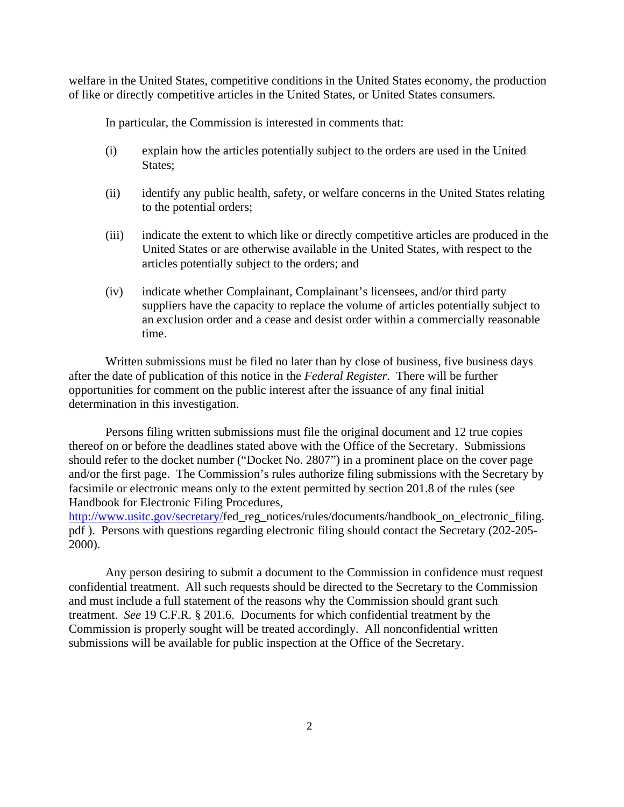welfare in the United States, competitive conditions in the United States economy, the production of like or directly competitive articles in the United States, or United States consumers.

In particular, the Commission is interested in comments that:

- (i) explain how the articles potentially subject to the orders are used in the United States;
- (ii) identify any public health, safety, or welfare concerns in the United States relating to the potential orders;
- (iii) indicate the extent to which like or directly competitive articles are produced in the United States or are otherwise available in the United States, with respect to the articles potentially subject to the orders; and
- (iv) indicate whether Complainant, Complainant's licensees, and/or third party suppliers have the capacity to replace the volume of articles potentially subject to an exclusion order and a cease and desist order within a commercially reasonable time.

 Written submissions must be filed no later than by close of business, five business days after the date of publication of this notice in the *Federal Register*. There will be further opportunities for comment on the public interest after the issuance of any final initial determination in this investigation.

 Persons filing written submissions must file the original document and 12 true copies thereof on or before the deadlines stated above with the Office of the Secretary. Submissions should refer to the docket number ("Docket No. 2807") in a prominent place on the cover page and/or the first page. The Commission's rules authorize filing submissions with the Secretary by facsimile or electronic means only to the extent permitted by section 201.8 of the rules (see Handbook for Electronic Filing Procedures,

http://www.usitc.gov/secretary/fed\_reg\_notices/rules/documents/handbook\_on\_electronic\_filing. pdf ). Persons with questions regarding electronic filing should contact the Secretary (202-205- 2000).

 Any person desiring to submit a document to the Commission in confidence must request confidential treatment. All such requests should be directed to the Secretary to the Commission and must include a full statement of the reasons why the Commission should grant such treatment. *See* 19 C.F.R. § 201.6. Documents for which confidential treatment by the Commission is properly sought will be treated accordingly. All nonconfidential written submissions will be available for public inspection at the Office of the Secretary.